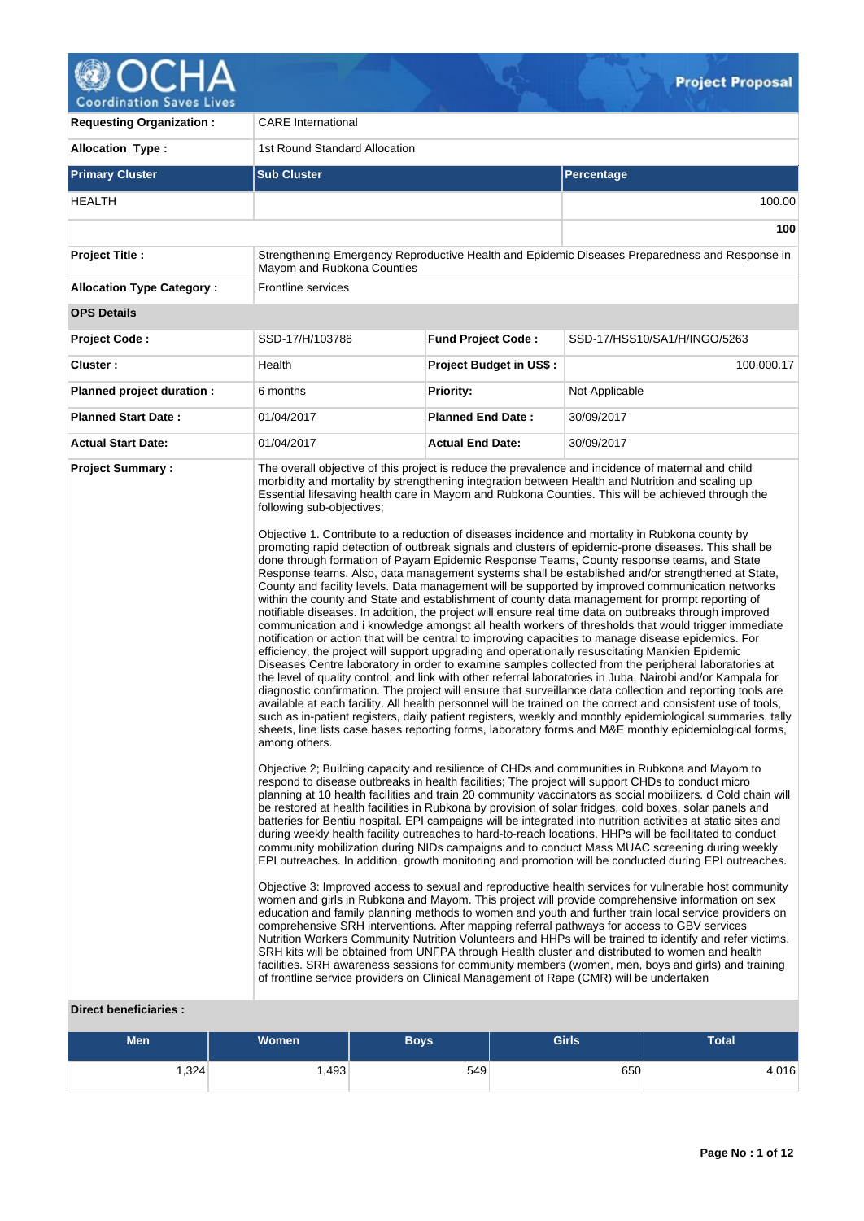

**Requesting Organization :** CARE International Allocation Type : 1st Round Standard Allocation **Primary Cluster Sub Cluster Sub Cluster** Sub Cluster Sub Cluster Sub Cluster Sub Cluster Sub Cluster Sub Cluster HEALTH 100.00 **100 Project Title :** Strengthening Emergency Reproductive Health and Epidemic Diseases Preparedness and Response in Mayom and Rubkona Counties **Allocation Type Category :** Frontline services **OPS Details Project Code :** SSD-17/H/103786 **Fund Project Code :** SSD-17/HSS10/SA1/H/INGO/5263 **Cluster :** 100,000.17 **Project Budget in US\$ :** 100,000.17 **Planned project duration :** 6 months **Priority:** Not Applicable **Planned Start Date :** 01/04/2017 **Planned End Date :** 30/09/2017 **Actual Start Date:** 01/04/2017 **Actual End Date:** 30/09/2017 **Project Summary :** The overall objective of this project is reduce the prevalence and incidence of maternal and child morbidity and mortality by strengthening integration between Health and Nutrition and scaling up Essential lifesaving health care in Mayom and Rubkona Counties. This will be achieved through the following sub-objectives; Objective 1. Contribute to a reduction of diseases incidence and mortality in Rubkona county by promoting rapid detection of outbreak signals and clusters of epidemic-prone diseases. This shall be done through formation of Payam Epidemic Response Teams, County response teams, and State Response teams. Also, data management systems shall be established and/or strengthened at State, County and facility levels. Data management will be supported by improved communication networks within the county and State and establishment of county data management for prompt reporting of notifiable diseases. In addition, the project will ensure real time data on outbreaks through improved communication and i knowledge amongst all health workers of thresholds that would trigger immediate notification or action that will be central to improving capacities to manage disease epidemics. For efficiency, the project will support upgrading and operationally resuscitating Mankien Epidemic Diseases Centre laboratory in order to examine samples collected from the peripheral laboratories at the level of quality control; and link with other referral laboratories in Juba, Nairobi and/or Kampala for diagnostic confirmation. The project will ensure that surveillance data collection and reporting tools are available at each facility. All health personnel will be trained on the correct and consistent use of tools, such as in-patient registers, daily patient registers, weekly and monthly epidemiological summaries, tally sheets, line lists case bases reporting forms, laboratory forms and M&E monthly epidemiological forms, among others. Objective 2; Building capacity and resilience of CHDs and communities in Rubkona and Mayom to respond to disease outbreaks in health facilities; The project will support CHDs to conduct micro planning at 10 health facilities and train 20 community vaccinators as social mobilizers. d Cold chain will be restored at health facilities in Rubkona by provision of solar fridges, cold boxes, solar panels and batteries for Bentiu hospital. EPI campaigns will be integrated into nutrition activities at static sites and during weekly health facility outreaches to hard-to-reach locations. HHPs will be facilitated to conduct community mobilization during NIDs campaigns and to conduct Mass MUAC screening during weekly EPI outreaches. In addition, growth monitoring and promotion will be conducted during EPI outreaches. Objective 3: Improved access to sexual and reproductive health services for vulnerable host community women and girls in Rubkona and Mayom. This project will provide comprehensive information on sex education and family planning methods to women and youth and further train local service providers on comprehensive SRH interventions. After mapping referral pathways for access to GBV services Nutrition Workers Community Nutrition Volunteers and HHPs will be trained to identify and refer victims. SRH kits will be obtained from UNFPA through Health cluster and distributed to women and health facilities. SRH awareness sessions for community members (women, men, boys and girls) and training of frontline service providers on Clinical Management of Rape (CMR) will be undertaken

# **Direct beneficiaries :**

| <b>Men</b> | <b>Women</b> | Boys | <b>Girls</b> | <b>Total</b> |
|------------|--------------|------|--------------|--------------|
| .324       | ∃493.،       | 549  | 650          | 4,016        |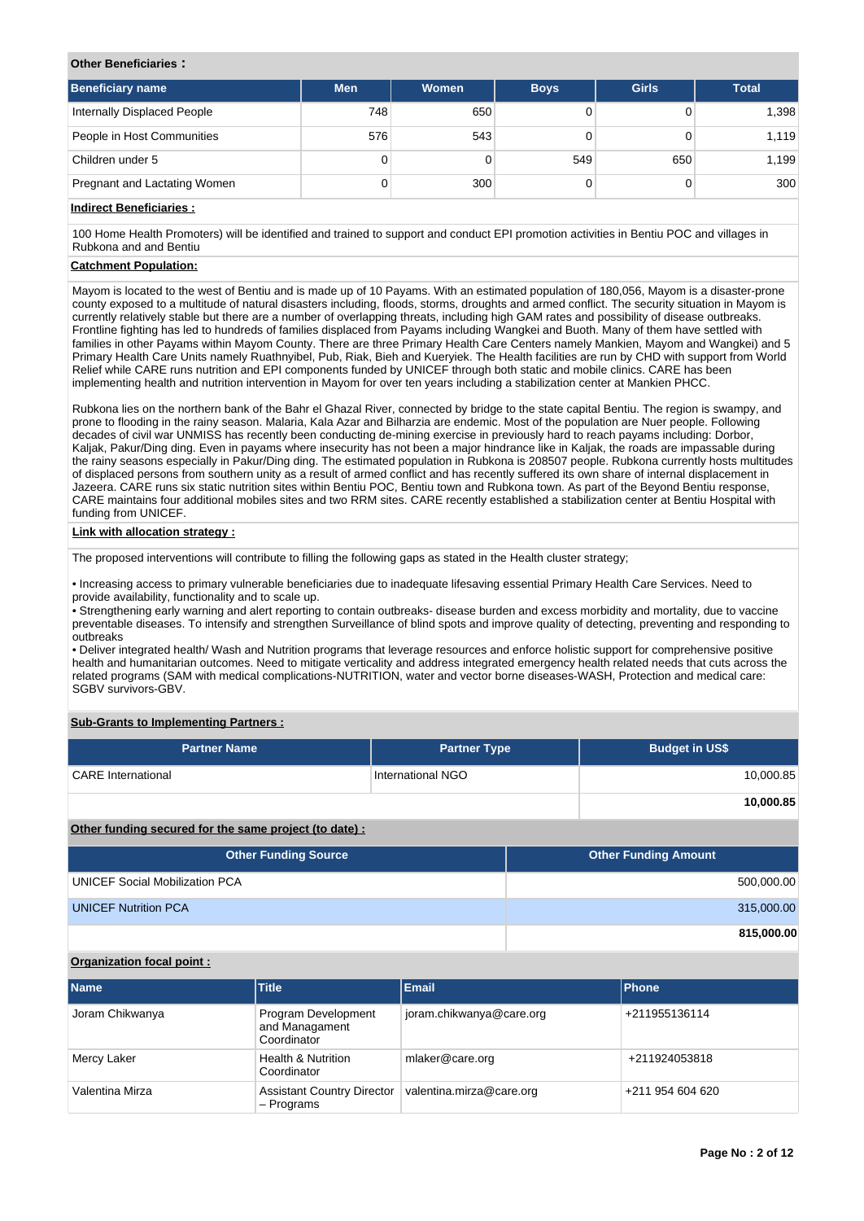#### **Other Beneficiaries :**

| <b>Beneficiary name</b>      | <b>Men</b> | Women | <b>Boys</b> | <b>Girls</b> | <b>Total</b> |
|------------------------------|------------|-------|-------------|--------------|--------------|
| Internally Displaced People  | 748        | 650   |             |              | 1,398        |
| People in Host Communities   | 576        | 543   |             |              | 1,119        |
| Children under 5             | 0          |       | 549         | 650          | 1,199        |
| Pregnant and Lactating Women | 0          | 300   |             |              | 300          |

### **Indirect Beneficiaries :**

100 Home Health Promoters) will be identified and trained to support and conduct EPI promotion activities in Bentiu POC and villages in Rubkona and and Bentiu

# **Catchment Population:**

Mayom is located to the west of Bentiu and is made up of 10 Payams. With an estimated population of 180,056, Mayom is a disaster-prone county exposed to a multitude of natural disasters including, floods, storms, droughts and armed conflict. The security situation in Mayom is currently relatively stable but there are a number of overlapping threats, including high GAM rates and possibility of disease outbreaks. Frontline fighting has led to hundreds of families displaced from Payams including Wangkei and Buoth. Many of them have settled with families in other Payams within Mayom County. There are three Primary Health Care Centers namely Mankien, Mayom and Wangkei) and 5 Primary Health Care Units namely Ruathnyibel, Pub, Riak, Bieh and Kueryiek. The Health facilities are run by CHD with support from World Relief while CARE runs nutrition and EPI components funded by UNICEF through both static and mobile clinics. CARE has been implementing health and nutrition intervention in Mayom for over ten years including a stabilization center at Mankien PHCC.

Rubkona lies on the northern bank of the Bahr el Ghazal River, connected by bridge to the state capital Bentiu. The region is swampy, and prone to flooding in the rainy season. Malaria, Kala Azar and Bilharzia are endemic. Most of the population are Nuer people. Following decades of civil war UNMISS has recently been conducting de-mining exercise in previously hard to reach payams including: Dorbor, Kaljak, Pakur/Ding ding. Even in payams where insecurity has not been a major hindrance like in Kaljak, the roads are impassable during the rainy seasons especially in Pakur/Ding ding. The estimated population in Rubkona is 208507 people. Rubkona currently hosts multitudes of displaced persons from southern unity as a result of armed conflict and has recently suffered its own share of internal displacement in Jazeera. CARE runs six static nutrition sites within Bentiu POC, Bentiu town and Rubkona town. As part of the Beyond Bentiu response, CARE maintains four additional mobiles sites and two RRM sites. CARE recently established a stabilization center at Bentiu Hospital with funding from UNICEF.

#### **Link with allocation strategy :**

The proposed interventions will contribute to filling the following gaps as stated in the Health cluster strategy;

• Increasing access to primary vulnerable beneficiaries due to inadequate lifesaving essential Primary Health Care Services. Need to provide availability, functionality and to scale up.

• Strengthening early warning and alert reporting to contain outbreaks- disease burden and excess morbidity and mortality, due to vaccine preventable diseases. To intensify and strengthen Surveillance of blind spots and improve quality of detecting, preventing and responding to outbreaks

• Deliver integrated health/ Wash and Nutrition programs that leverage resources and enforce holistic support for comprehensive positive health and humanitarian outcomes. Need to mitigate verticality and address integrated emergency health related needs that cuts across the related programs (SAM with medical complications-NUTRITION, water and vector borne diseases-WASH, Protection and medical care: SGBV survivors-GBV.

### **Sub-Grants to Implementing Partners :**

| <b>Partner Name</b>                                   | <b>Partner Type</b> | <b>Budget in US\$</b> |
|-------------------------------------------------------|---------------------|-----------------------|
| <b>CARE</b> International                             | International NGO   | 10,000.85             |
|                                                       |                     | 10,000.85             |
| Other funding secured for the same project (to date): |                     |                       |

| <b>Other Funding Source</b>           | <b>Other Funding Amount</b> |
|---------------------------------------|-----------------------------|
| <b>UNICEF Social Mobilization PCA</b> | 500,000.00                  |
| <b>UNICEF Nutrition PCA</b>           | 315,000.00                  |
|                                       | 815,000.00                  |

#### **Organization focal point :**

| <b>Name</b>     | <b>Title</b>                                         | Email                    | <b>Phone</b>     |
|-----------------|------------------------------------------------------|--------------------------|------------------|
| Joram Chikwanya | Program Development<br>and Managament<br>Coordinator | joram.chikwanya@care.org | +211955136114    |
| Mercy Laker     | <b>Health &amp; Nutrition</b><br>Coordinator         | mlaker@care.org          | +211924053818    |
| Valentina Mirza | <b>Assistant Country Director</b><br>- Programs      | valentina.mirza@care.org | +211 954 604 620 |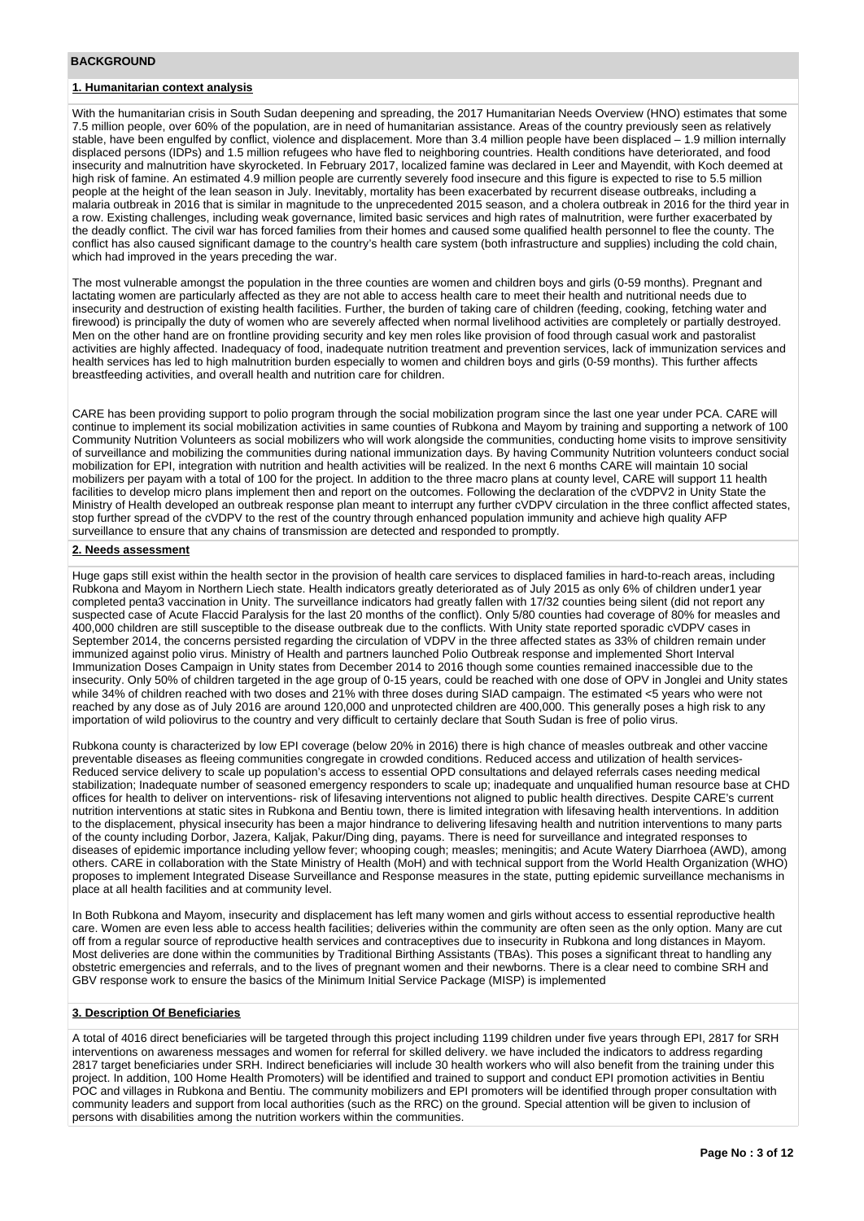#### **BACKGROUND**

# **1. Humanitarian context analysis**

With the humanitarian crisis in South Sudan deepening and spreading, the 2017 Humanitarian Needs Overview (HNO) estimates that some 7.5 million people, over 60% of the population, are in need of humanitarian assistance. Areas of the country previously seen as relatively stable, have been engulfed by conflict, violence and displacement. More than 3.4 million people have been displaced – 1.9 million internally displaced persons (IDPs) and 1.5 million refugees who have fled to neighboring countries. Health conditions have deteriorated, and food insecurity and malnutrition have skyrocketed. In February 2017, localized famine was declared in Leer and Mayendit, with Koch deemed at high risk of famine. An estimated 4.9 million people are currently severely food insecure and this figure is expected to rise to 5.5 million people at the height of the lean season in July. Inevitably, mortality has been exacerbated by recurrent disease outbreaks, including a malaria outbreak in 2016 that is similar in magnitude to the unprecedented 2015 season, and a cholera outbreak in 2016 for the third year in a row. Existing challenges, including weak governance, limited basic services and high rates of malnutrition, were further exacerbated by the deadly conflict. The civil war has forced families from their homes and caused some qualified health personnel to flee the county. The conflict has also caused significant damage to the country's health care system (both infrastructure and supplies) including the cold chain, which had improved in the years preceding the war.

The most vulnerable amongst the population in the three counties are women and children boys and girls (0-59 months). Pregnant and lactating women are particularly affected as they are not able to access health care to meet their health and nutritional needs due to insecurity and destruction of existing health facilities. Further, the burden of taking care of children (feeding, cooking, fetching water and firewood) is principally the duty of women who are severely affected when normal livelihood activities are completely or partially destroyed. Men on the other hand are on frontline providing security and key men roles like provision of food through casual work and pastoralist activities are highly affected. Inadequacy of food, inadequate nutrition treatment and prevention services, lack of immunization services and health services has led to high malnutrition burden especially to women and children boys and girls (0-59 months). This further affects breastfeeding activities, and overall health and nutrition care for children.

CARE has been providing support to polio program through the social mobilization program since the last one year under PCA. CARE will continue to implement its social mobilization activities in same counties of Rubkona and Mayom by training and supporting a network of 100 Community Nutrition Volunteers as social mobilizers who will work alongside the communities, conducting home visits to improve sensitivity of surveillance and mobilizing the communities during national immunization days. By having Community Nutrition volunteers conduct social mobilization for EPI, integration with nutrition and health activities will be realized. In the next 6 months CARE will maintain 10 social mobilizers per payam with a total of 100 for the project. In addition to the three macro plans at county level, CARE will support 11 health facilities to develop micro plans implement then and report on the outcomes. Following the declaration of the cVDPV2 in Unity State the Ministry of Health developed an outbreak response plan meant to interrupt any further cVDPV circulation in the three conflict affected states, stop further spread of the cVDPV to the rest of the country through enhanced population immunity and achieve high quality AFP surveillance to ensure that any chains of transmission are detected and responded to promptly.

#### **2. Needs assessment**

Huge gaps still exist within the health sector in the provision of health care services to displaced families in hard-to-reach areas, including Rubkona and Mayom in Northern Liech state. Health indicators greatly deteriorated as of July 2015 as only 6% of children under1 year completed penta3 vaccination in Unity. The surveillance indicators had greatly fallen with 17/32 counties being silent (did not report any suspected case of Acute Flaccid Paralysis for the last 20 months of the conflict). Only 5/80 counties had coverage of 80% for measles and 400,000 children are still susceptible to the disease outbreak due to the conflicts. With Unity state reported sporadic cVDPV cases in September 2014, the concerns persisted regarding the circulation of VDPV in the three affected states as 33% of children remain under immunized against polio virus. Ministry of Health and partners launched Polio Outbreak response and implemented Short Interval Immunization Doses Campaign in Unity states from December 2014 to 2016 though some counties remained inaccessible due to the insecurity. Only 50% of children targeted in the age group of 0-15 years, could be reached with one dose of OPV in Jonglei and Unity states while 34% of children reached with two doses and 21% with three doses during SIAD campaign. The estimated <5 years who were not reached by any dose as of July 2016 are around 120,000 and unprotected children are 400,000. This generally poses a high risk to any importation of wild poliovirus to the country and very difficult to certainly declare that South Sudan is free of polio virus.

Rubkona county is characterized by low EPI coverage (below 20% in 2016) there is high chance of measles outbreak and other vaccine preventable diseases as fleeing communities congregate in crowded conditions. Reduced access and utilization of health services-Reduced service delivery to scale up population's access to essential OPD consultations and delayed referrals cases needing medical stabilization; Inadequate number of seasoned emergency responders to scale up; inadequate and unqualified human resource base at CHD offices for health to deliver on interventions- risk of lifesaving interventions not aligned to public health directives. Despite CARE's current nutrition interventions at static sites in Rubkona and Bentiu town, there is limited integration with lifesaving health interventions. In addition to the displacement, physical insecurity has been a major hindrance to delivering lifesaving health and nutrition interventions to many parts of the county including Dorbor, Jazera, Kaljak, Pakur/Ding ding, payams. There is need for surveillance and integrated responses to diseases of epidemic importance including yellow fever; whooping cough; measles; meningitis; and Acute Watery Diarrhoea (AWD), among others. CARE in collaboration with the State Ministry of Health (MoH) and with technical support from the World Health Organization (WHO) proposes to implement Integrated Disease Surveillance and Response measures in the state, putting epidemic surveillance mechanisms in place at all health facilities and at community level.

In Both Rubkona and Mayom, insecurity and displacement has left many women and girls without access to essential reproductive health care. Women are even less able to access health facilities; deliveries within the community are often seen as the only option. Many are cut off from a regular source of reproductive health services and contraceptives due to insecurity in Rubkona and long distances in Mayom. Most deliveries are done within the communities by Traditional Birthing Assistants (TBAs). This poses a significant threat to handling any obstetric emergencies and referrals, and to the lives of pregnant women and their newborns. There is a clear need to combine SRH and GBV response work to ensure the basics of the Minimum Initial Service Package (MISP) is implemented

#### **3. Description Of Beneficiaries**

A total of 4016 direct beneficiaries will be targeted through this project including 1199 children under five years through EPI, 2817 for SRH interventions on awareness messages and women for referral for skilled delivery. we have included the indicators to address regarding 2817 target beneficiaries under SRH. Indirect beneficiaries will include 30 health workers who will also benefit from the training under this project. In addition, 100 Home Health Promoters) will be identified and trained to support and conduct EPI promotion activities in Bentiu POC and villages in Rubkona and Bentiu. The community mobilizers and EPI promoters will be identified through proper consultation with community leaders and support from local authorities (such as the RRC) on the ground. Special attention will be given to inclusion of persons with disabilities among the nutrition workers within the communities.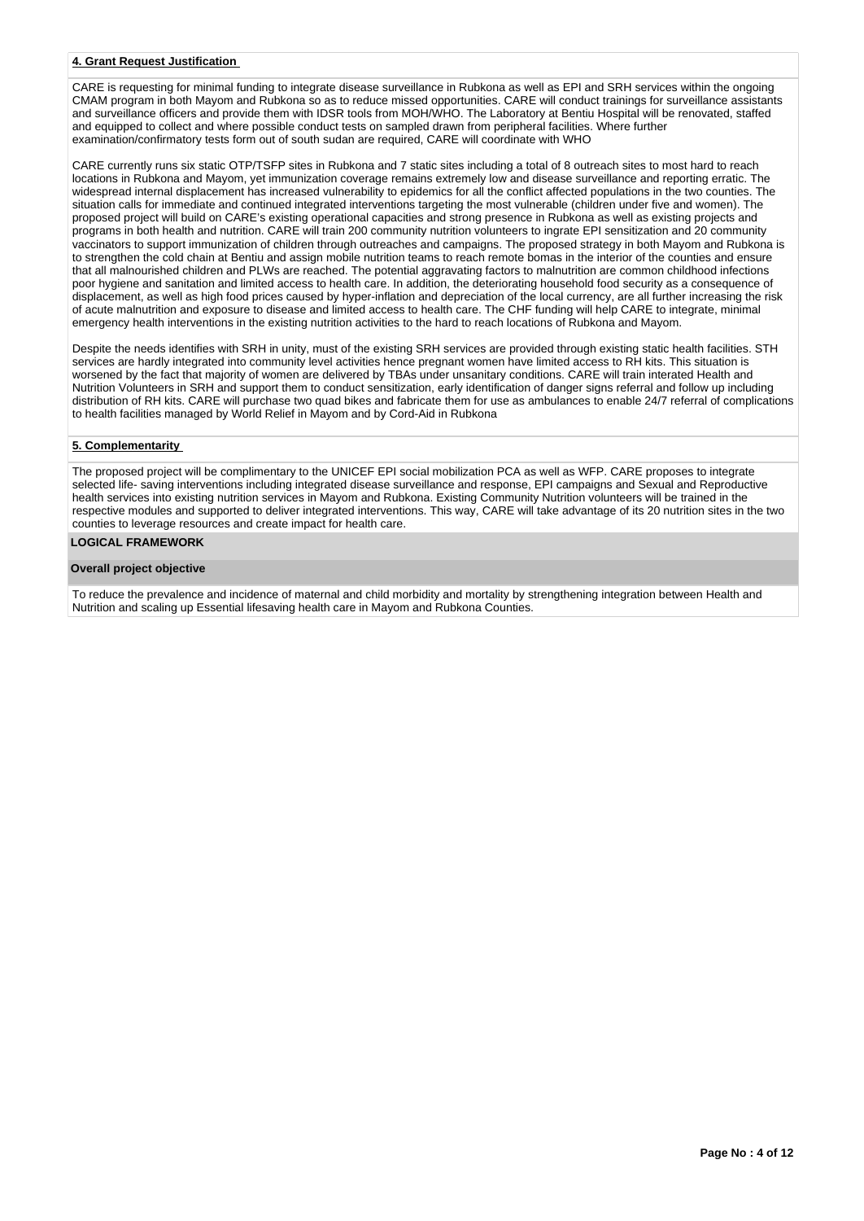### **4. Grant Request Justification**

CARE is requesting for minimal funding to integrate disease surveillance in Rubkona as well as EPI and SRH services within the ongoing CMAM program in both Mayom and Rubkona so as to reduce missed opportunities. CARE will conduct trainings for surveillance assistants and surveillance officers and provide them with IDSR tools from MOH/WHO. The Laboratory at Bentiu Hospital will be renovated, staffed and equipped to collect and where possible conduct tests on sampled drawn from peripheral facilities. Where further examination/confirmatory tests form out of south sudan are required, CARE will coordinate with WHO

CARE currently runs six static OTP/TSFP sites in Rubkona and 7 static sites including a total of 8 outreach sites to most hard to reach locations in Rubkona and Mayom, yet immunization coverage remains extremely low and disease surveillance and reporting erratic. The widespread internal displacement has increased vulnerability to epidemics for all the conflict affected populations in the two counties. The situation calls for immediate and continued integrated interventions targeting the most vulnerable (children under five and women). The proposed project will build on CARE's existing operational capacities and strong presence in Rubkona as well as existing projects and programs in both health and nutrition. CARE will train 200 community nutrition volunteers to ingrate EPI sensitization and 20 community .<br>vaccinators to support immunization of children through outreaches and campaigns. The proposed strategy in both Mayom and Rubkona is to strengthen the cold chain at Bentiu and assign mobile nutrition teams to reach remote bomas in the interior of the counties and ensure that all malnourished children and PLWs are reached. The potential aggravating factors to malnutrition are common childhood infections poor hygiene and sanitation and limited access to health care. In addition, the deteriorating household food security as a consequence of displacement, as well as high food prices caused by hyper-inflation and depreciation of the local currency, are all further increasing the risk of acute malnutrition and exposure to disease and limited access to health care. The CHF funding will help CARE to integrate, minimal emergency health interventions in the existing nutrition activities to the hard to reach locations of Rubkona and Mayom.

Despite the needs identifies with SRH in unity, must of the existing SRH services are provided through existing static health facilities. STH services are hardly integrated into community level activities hence pregnant women have limited access to RH kits. This situation is worsened by the fact that majority of women are delivered by TBAs under unsanitary conditions. CARE will train interated Health and Nutrition Volunteers in SRH and support them to conduct sensitization, early identification of danger signs referral and follow up including distribution of RH kits. CARE will purchase two quad bikes and fabricate them for use as ambulances to enable 24/7 referral of complications to health facilities managed by World Relief in Mayom and by Cord-Aid in Rubkona

#### **5. Complementarity**

The proposed project will be complimentary to the UNICEF EPI social mobilization PCA as well as WFP. CARE proposes to integrate selected life- saving interventions including integrated disease surveillance and response, EPI campaigns and Sexual and Reproductive health services into existing nutrition services in Mayom and Rubkona. Existing Community Nutrition volunteers will be trained in the respective modules and supported to deliver integrated interventions. This way, CARE will take advantage of its 20 nutrition sites in the two counties to leverage resources and create impact for health care.

#### **LOGICAL FRAMEWORK**

#### **Overall project objective**

To reduce the prevalence and incidence of maternal and child morbidity and mortality by strengthening integration between Health and Nutrition and scaling up Essential lifesaving health care in Mayom and Rubkona Counties.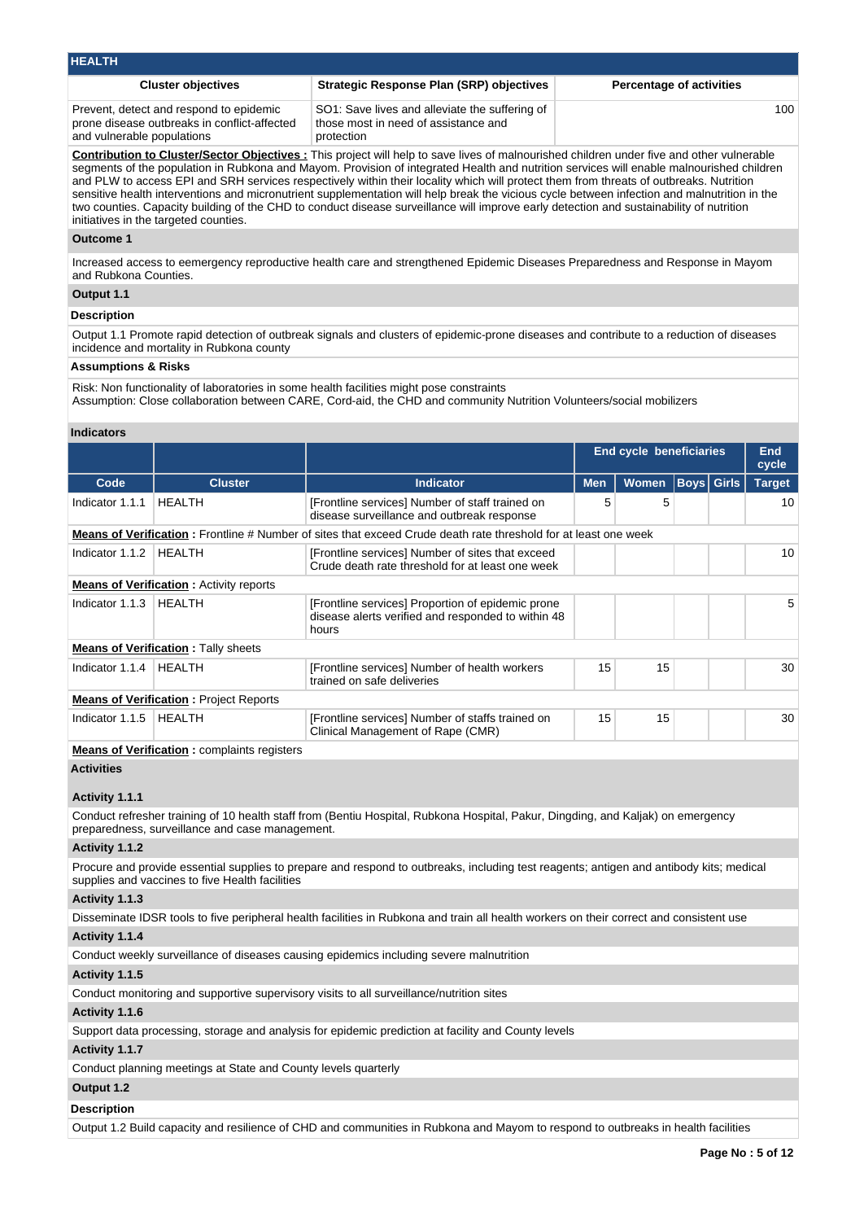| <b>HEALTH</b>                                                                                                         |                                                                                                      |                                 |
|-----------------------------------------------------------------------------------------------------------------------|------------------------------------------------------------------------------------------------------|---------------------------------|
| <b>Cluster objectives</b>                                                                                             | <b>Strategic Response Plan (SRP) objectives</b>                                                      | <b>Percentage of activities</b> |
| Prevent, detect and respond to epidemic<br>prone disease outbreaks in conflict-affected<br>and vulnerable populations | SO1: Save lives and alleviate the suffering of<br>those most in need of assistance and<br>protection | 100                             |

**Contribution to Cluster/Sector Objectives :** This project will help to save lives of malnourished children under five and other vulnerable segments of the population in Rubkona and Mayom. Provision of integrated Health and nutrition services will enable malnourished children and PLW to access EPI and SRH services respectively within their locality which will protect them from threats of outbreaks. Nutrition sensitive health interventions and micronutrient supplementation will help break the vicious cycle between infection and malnutrition in the two counties. Capacity building of the CHD to conduct disease surveillance will improve early detection and sustainability of nutrition initiatives in the targeted counties.

#### **Outcome 1**

Increased access to eemergency reproductive health care and strengthened Epidemic Diseases Preparedness and Response in Mayom and Rubkona Counties.

# **Output 1.1**

#### **Description**

Output 1.1 Promote rapid detection of outbreak signals and clusters of epidemic-prone diseases and contribute to a reduction of diseases incidence and mortality in Rubkona county

#### **Assumptions & Risks**

Risk: Non functionality of laboratories in some health facilities might pose constraints

Assumption: Close collaboration between CARE, Cord-aid, the CHD and community Nutrition Volunteers/social mobilizers

#### **Indicators**

|                 |                                                |                                                                                                                  | <b>End cycle beneficiaries</b> |              |  |                   | <b>End</b><br>cycle |
|-----------------|------------------------------------------------|------------------------------------------------------------------------------------------------------------------|--------------------------------|--------------|--|-------------------|---------------------|
| Code            | <b>Cluster</b>                                 | <b>Indicator</b>                                                                                                 | <b>Men</b>                     | <b>Women</b> |  | <b>Boys Girls</b> | <b>Target</b>       |
| Indicator 1.1.1 | <b>HEALTH</b>                                  | [Frontline services] Number of staff trained on<br>disease surveillance and outbreak response                    | 5                              | 5            |  |                   | 10                  |
|                 |                                                | Means of Verification: Frontline # Number of sites that exceed Crude death rate threshold for at least one week  |                                |              |  |                   |                     |
| Indicator 1.1.2 | <b>HEALTH</b>                                  | [Frontline services] Number of sites that exceed<br>Crude death rate threshold for at least one week             |                                |              |  |                   | 10                  |
|                 | <b>Means of Verification:</b> Activity reports |                                                                                                                  |                                |              |  |                   |                     |
| Indicator 1.1.3 | <b>HEALTH</b>                                  | [Frontline services] Proportion of epidemic prone<br>disease alerts verified and responded to within 48<br>hours |                                |              |  |                   | 5                   |
|                 | <b>Means of Verification: Tally sheets</b>     |                                                                                                                  |                                |              |  |                   |                     |
| Indicator 1.1.4 | <b>HEALTH</b>                                  | [Frontline services] Number of health workers<br>trained on safe deliveries                                      | 15                             | 15           |  |                   | 30                  |
|                 | <b>Means of Verification: Project Reports</b>  |                                                                                                                  |                                |              |  |                   |                     |
| Indicator 1.1.5 | <b>HEALTH</b>                                  | [Frontline services] Number of staffs trained on<br>Clinical Management of Rape (CMR)                            | 15                             | 15           |  |                   | 30                  |
|                 | Means of Varification : complainte registers   |                                                                                                                  |                                |              |  |                   |                     |

**Means of Verification :** complaints registers

# **Activities**

#### **Activity 1.1.1**

Conduct refresher training of 10 health staff from (Bentiu Hospital, Rubkona Hospital, Pakur, Dingding, and Kaljak) on emergency preparedness, surveillance and case management.

### **Activity 1.1.2**

Procure and provide essential supplies to prepare and respond to outbreaks, including test reagents; antigen and antibody kits; medical supplies and vaccines to five Health facilities

# **Activity 1.1.3**

Disseminate IDSR tools to five peripheral health facilities in Rubkona and train all health workers on their correct and consistent use

#### **Activity 1.1.4**

Conduct weekly surveillance of diseases causing epidemics including severe malnutrition

## **Activity 1.1.5**

Conduct monitoring and supportive supervisory visits to all surveillance/nutrition sites

# **Activity 1.1.6**

Support data processing, storage and analysis for epidemic prediction at facility and County levels

#### **Activity 1.1.7**

Conduct planning meetings at State and County levels quarterly

# **Output 1.2**

#### **Description**

Output 1.2 Build capacity and resilience of CHD and communities in Rubkona and Mayom to respond to outbreaks in health facilities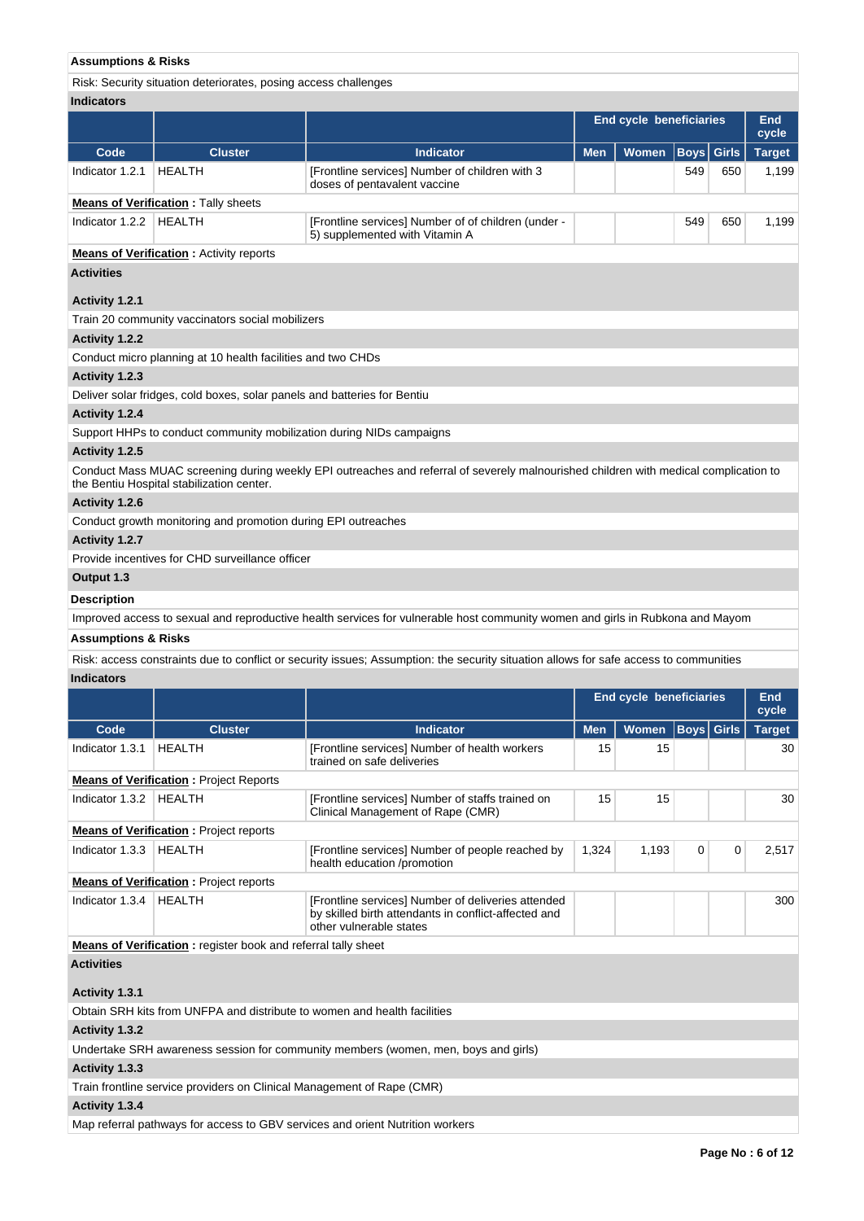# **Assumptions & Risks**

Risk: Security situation deteriorates, posing access challenges

| <b>Indicators</b>              |                                                                          |                                                                                                                                       |            |                                |             |              |               |
|--------------------------------|--------------------------------------------------------------------------|---------------------------------------------------------------------------------------------------------------------------------------|------------|--------------------------------|-------------|--------------|---------------|
|                                |                                                                          |                                                                                                                                       |            | <b>End cycle beneficiaries</b> |             |              | End<br>cycle  |
| Code                           | <b>Cluster</b>                                                           | <b>Indicator</b>                                                                                                                      | <b>Men</b> | Women                          | <b>Boys</b> | <b>Girls</b> | <b>Target</b> |
| Indicator 1.2.1                | <b>HEALTH</b>                                                            | [Frontline services] Number of children with 3<br>doses of pentavalent vaccine                                                        |            |                                | 549         | 650          | 1,199         |
|                                | <b>Means of Verification:</b> Tally sheets                               |                                                                                                                                       |            |                                |             |              |               |
| Indicator 1.2.2                | HEALTH                                                                   | [Frontline services] Number of of children (under -<br>5) supplemented with Vitamin A                                                 |            | 549                            | 650         | 1,199        |               |
|                                | <b>Means of Verification:</b> Activity reports                           |                                                                                                                                       |            |                                |             |              |               |
| <b>Activities</b>              |                                                                          |                                                                                                                                       |            |                                |             |              |               |
| Activity 1.2.1                 |                                                                          |                                                                                                                                       |            |                                |             |              |               |
|                                | Train 20 community vaccinators social mobilizers                         |                                                                                                                                       |            |                                |             |              |               |
| <b>Activity 1.2.2</b>          |                                                                          |                                                                                                                                       |            |                                |             |              |               |
|                                | Conduct micro planning at 10 health facilities and two CHDs              |                                                                                                                                       |            |                                |             |              |               |
| Activity 1.2.3                 |                                                                          |                                                                                                                                       |            |                                |             |              |               |
|                                | Deliver solar fridges, cold boxes, solar panels and batteries for Bentiu |                                                                                                                                       |            |                                |             |              |               |
| Activity 1.2.4                 |                                                                          |                                                                                                                                       |            |                                |             |              |               |
|                                |                                                                          | Support HHPs to conduct community mobilization during NIDs campaigns                                                                  |            |                                |             |              |               |
| Activity 1.2.5                 |                                                                          |                                                                                                                                       |            |                                |             |              |               |
|                                | the Bentiu Hospital stabilization center.                                | Conduct Mass MUAC screening during weekly EPI outreaches and referral of severely malnourished children with medical complication to  |            |                                |             |              |               |
| Activity 1.2.6                 |                                                                          |                                                                                                                                       |            |                                |             |              |               |
|                                | Conduct growth monitoring and promotion during EPI outreaches            |                                                                                                                                       |            |                                |             |              |               |
| Activity 1.2.7                 |                                                                          |                                                                                                                                       |            |                                |             |              |               |
|                                | Provide incentives for CHD surveillance officer                          |                                                                                                                                       |            |                                |             |              |               |
| Output 1.3                     |                                                                          |                                                                                                                                       |            |                                |             |              |               |
| <b>Description</b>             |                                                                          |                                                                                                                                       |            |                                |             |              |               |
|                                |                                                                          |                                                                                                                                       |            |                                |             |              |               |
|                                |                                                                          | Improved access to sexual and reproductive health services for vulnerable host community women and girls in Rubkona and Mayom         |            |                                |             |              |               |
| <b>Assumptions &amp; Risks</b> |                                                                          |                                                                                                                                       |            |                                |             |              |               |
|                                |                                                                          | Risk: access constraints due to conflict or security issues; Assumption: the security situation allows for safe access to communities |            |                                |             |              |               |
| <b>Indicators</b>              |                                                                          |                                                                                                                                       |            |                                |             |              |               |
|                                |                                                                          |                                                                                                                                       |            | <b>End cycle beneficiaries</b> |             |              | End           |
|                                |                                                                          |                                                                                                                                       |            |                                |             |              | cycle         |
| Code                           | <b>Cluster</b>                                                           | <b>Indicator</b>                                                                                                                      | <b>Men</b> | <b>Women</b>                   | <b>Boys</b> | <b>Girls</b> | <b>Target</b> |
| Indicator 1.3.1                | HEALTH                                                                   | [Frontline services] Number of health workers<br>trained on safe deliveries                                                           | 15         | 15                             |             |              | 30            |
|                                | <b>Means of Verification: Project Reports</b>                            |                                                                                                                                       |            |                                |             |              |               |
| Indicator 1.3.2   HEALTH       |                                                                          | [Frontline services] Number of staffs trained on<br>Clinical Management of Rape (CMR)                                                 | 15         | 15                             |             |              | 30            |
|                                | <b>Means of Verification:</b> Project reports                            |                                                                                                                                       |            |                                |             |              |               |
| Indicator 1.3.3                | HEALTH                                                                   | [Frontline services] Number of people reached by<br>health education /promotion                                                       | 1,324      | 1,193                          | 0           | 0            | 2,517         |
|                                | <b>Means of Verification:</b> Project reports                            |                                                                                                                                       |            |                                |             |              |               |
| Indicator 1.3.4   HEALTH       |                                                                          | [Frontline services] Number of deliveries attended<br>by skilled birth attendants in conflict-affected and<br>other vulnerable states |            |                                |             |              | 300           |
|                                | <b>Means of Verification:</b> register book and referral tally sheet     |                                                                                                                                       |            |                                |             |              |               |
| <b>Activities</b>              |                                                                          |                                                                                                                                       |            |                                |             |              |               |
| Activity 1.3.1                 |                                                                          |                                                                                                                                       |            |                                |             |              |               |
|                                |                                                                          | Obtain SRH kits from UNFPA and distribute to women and health facilities                                                              |            |                                |             |              |               |
| Activity 1.3.2                 |                                                                          |                                                                                                                                       |            |                                |             |              |               |
|                                |                                                                          | Undertake SRH awareness session for community members (women, men, boys and girls)                                                    |            |                                |             |              |               |
| Activity 1.3.3                 |                                                                          |                                                                                                                                       |            |                                |             |              |               |
| Activity 1.3.4                 | Train frontline service providers on Clinical Management of Rape (CMR)   |                                                                                                                                       |            |                                |             |              |               |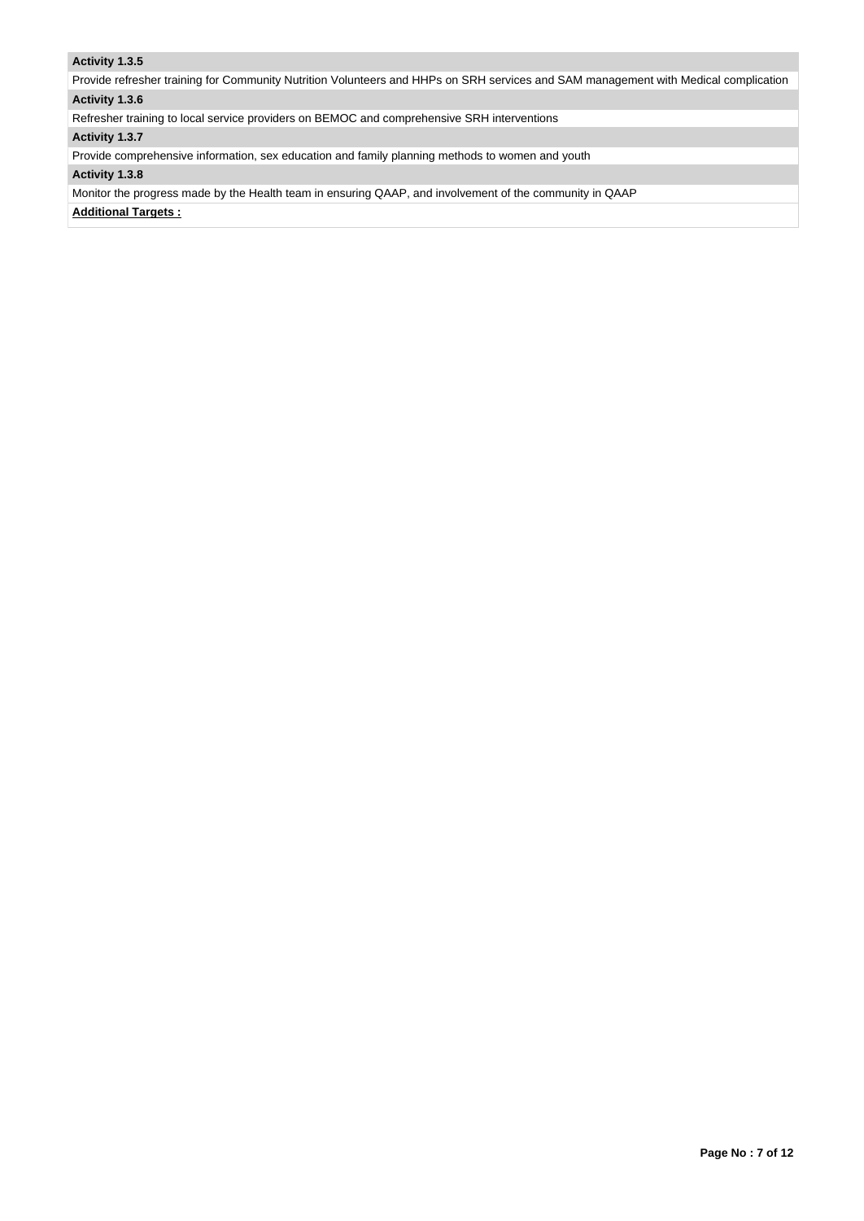# **Activity 1.3.5**

Provide refresher training for Community Nutrition Volunteers and HHPs on SRH services and SAM management with Medical complication **Activity 1.3.6** 

Refresher training to local service providers on BEMOC and comprehensive SRH interventions

# **Activity 1.3.7**

Provide comprehensive information, sex education and family planning methods to women and youth

# **Activity 1.3.8**

Monitor the progress made by the Health team in ensuring QAAP, and involvement of the community in QAAP

**Additional Targets :**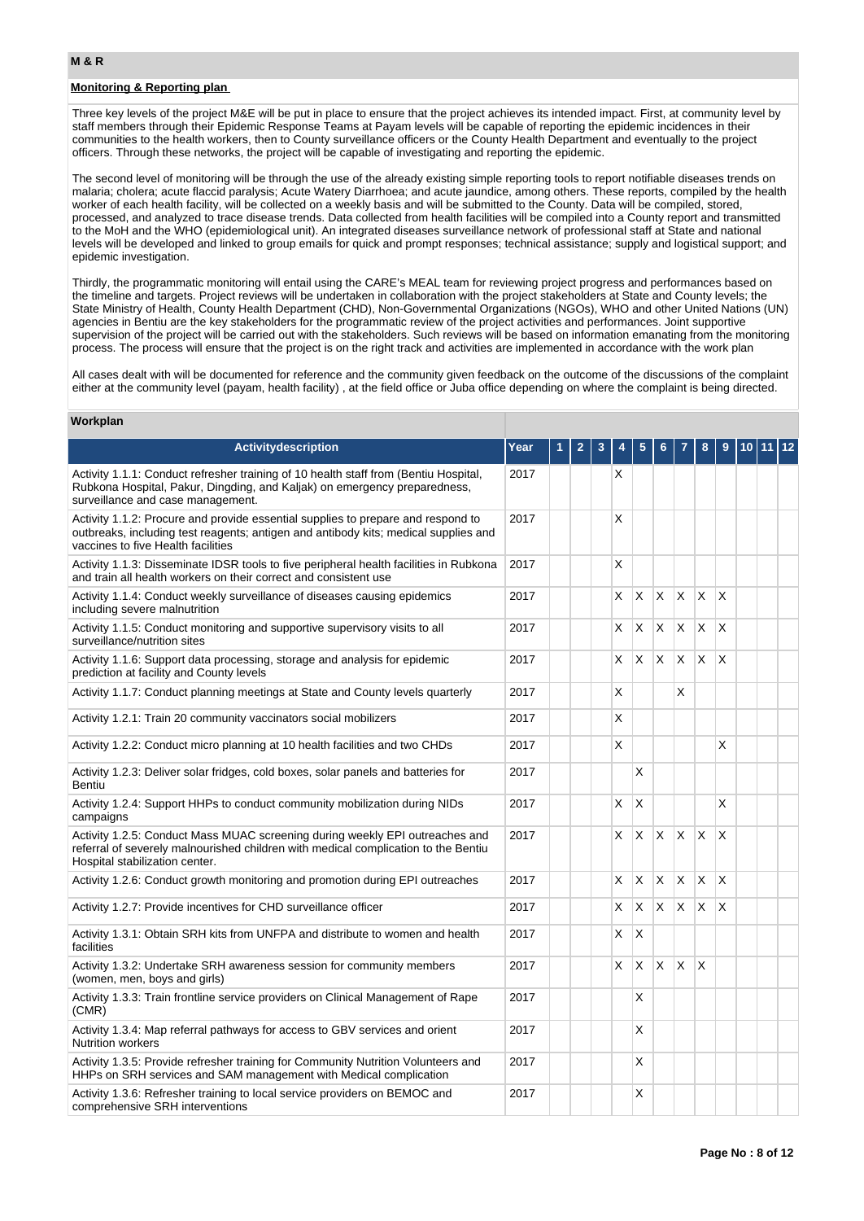### **M & R**

# **Monitoring & Reporting plan**

Three key levels of the project M&E will be put in place to ensure that the project achieves its intended impact. First, at community level by staff members through their Epidemic Response Teams at Payam levels will be capable of reporting the epidemic incidences in their communities to the health workers, then to County surveillance officers or the County Health Department and eventually to the project officers. Through these networks, the project will be capable of investigating and reporting the epidemic.

The second level of monitoring will be through the use of the already existing simple reporting tools to report notifiable diseases trends on malaria; cholera; acute flaccid paralysis; Acute Watery Diarrhoea; and acute jaundice, among others. These reports, compiled by the health worker of each health facility, will be collected on a weekly basis and will be submitted to the County. Data will be compiled, stored, processed, and analyzed to trace disease trends. Data collected from health facilities will be compiled into a County report and transmitted to the MoH and the WHO (epidemiological unit). An integrated diseases surveillance network of professional staff at State and national levels will be developed and linked to group emails for quick and prompt responses; technical assistance; supply and logistical support; and epidemic investigation.

Thirdly, the programmatic monitoring will entail using the CARE's MEAL team for reviewing project progress and performances based on the timeline and targets. Project reviews will be undertaken in collaboration with the project stakeholders at State and County levels; the State Ministry of Health, County Health Department (CHD), Non-Governmental Organizations (NGOs), WHO and other United Nations (UN) agencies in Bentiu are the key stakeholders for the programmatic review of the project activities and performances. Joint supportive supervision of the project will be carried out with the stakeholders. Such reviews will be based on information emanating from the monitoring process. The process will ensure that the project is on the right track and activities are implemented in accordance with the work plan

All cases dealt with will be documented for reference and the community given feedback on the outcome of the discussions of the complaint either at the community level (payam, health facility), at the field office or Juba office depending on where the complaint is being directed.

#### **Workplan**

| Activitydescription                                                                                                                                                                                           | Year | 2 | 3 |    |                           |   |              |    |          |  | $ 12\rangle$ |
|---------------------------------------------------------------------------------------------------------------------------------------------------------------------------------------------------------------|------|---|---|----|---------------------------|---|--------------|----|----------|--|--------------|
| Activity 1.1.1: Conduct refresher training of 10 health staff from (Bentiu Hospital,<br>Rubkona Hospital, Pakur, Dingding, and Kaljak) on emergency preparedness,<br>surveillance and case management.        | 2017 |   |   | X  |                           |   |              |    |          |  |              |
| Activity 1.1.2: Procure and provide essential supplies to prepare and respond to<br>outbreaks, including test reagents; antigen and antibody kits; medical supplies and<br>vaccines to five Health facilities | 2017 |   |   | X  |                           |   |              |    |          |  |              |
| Activity 1.1.3: Disseminate IDSR tools to five peripheral health facilities in Rubkona<br>and train all health workers on their correct and consistent use                                                    | 2017 |   |   | X  |                           |   |              |    |          |  |              |
| Activity 1.1.4: Conduct weekly surveillance of diseases causing epidemics<br>including severe malnutrition                                                                                                    | 2017 |   |   | X. | X                         | X | X            | X  | $\times$ |  |              |
| Activity 1.1.5: Conduct monitoring and supportive supervisory visits to all<br>surveillance/nutrition sites                                                                                                   | 2017 |   |   | X. | X                         | X | X            | X  | $\times$ |  |              |
| Activity 1.1.6: Support data processing, storage and analysis for epidemic<br>prediction at facility and County levels                                                                                        | 2017 |   |   | X. | X                         | X | X            | X  | $\times$ |  |              |
| Activity 1.1.7: Conduct planning meetings at State and County levels quarterly                                                                                                                                | 2017 |   |   | X  |                           |   | X            |    |          |  |              |
| Activity 1.2.1: Train 20 community vaccinators social mobilizers                                                                                                                                              | 2017 |   |   | X  |                           |   |              |    |          |  |              |
| Activity 1.2.2: Conduct micro planning at 10 health facilities and two CHDs                                                                                                                                   | 2017 |   |   | X  |                           |   |              |    | X        |  |              |
| Activity 1.2.3: Deliver solar fridges, cold boxes, solar panels and batteries for<br>Bentiu                                                                                                                   | 2017 |   |   |    | X                         |   |              |    |          |  |              |
| Activity 1.2.4: Support HHPs to conduct community mobilization during NIDs<br>campaigns                                                                                                                       | 2017 |   |   | X  | X                         |   |              |    | X        |  |              |
| Activity 1.2.5: Conduct Mass MUAC screening during weekly EPI outreaches and<br>referral of severely malnourished children with medical complication to the Bentiu<br>Hospital stabilization center.          | 2017 |   |   | X  | X                         | X | $\times$     | X  | X        |  |              |
| Activity 1.2.6: Conduct growth monitoring and promotion during EPI outreaches                                                                                                                                 | 2017 |   |   | X  | $\boldsymbol{\mathsf{X}}$ | X | $\mathsf{X}$ | X. | X        |  |              |
| Activity 1.2.7: Provide incentives for CHD surveillance officer                                                                                                                                               | 2017 |   |   | X  | X                         | X | X            | X  | $\times$ |  |              |
| Activity 1.3.1: Obtain SRH kits from UNFPA and distribute to women and health<br>facilities                                                                                                                   | 2017 |   |   | X. | X                         |   |              |    |          |  |              |
| Activity 1.3.2: Undertake SRH awareness session for community members<br>(women, men, boys and girls)                                                                                                         | 2017 |   |   | X  | X                         | X | X            | X  |          |  |              |
| Activity 1.3.3: Train frontline service providers on Clinical Management of Rape<br>(CMR)                                                                                                                     | 2017 |   |   |    | X                         |   |              |    |          |  |              |
| Activity 1.3.4: Map referral pathways for access to GBV services and orient<br><b>Nutrition workers</b>                                                                                                       | 2017 |   |   |    | X                         |   |              |    |          |  |              |
| Activity 1.3.5: Provide refresher training for Community Nutrition Volunteers and<br>HHPs on SRH services and SAM management with Medical complication                                                        | 2017 |   |   |    | X                         |   |              |    |          |  |              |
| Activity 1.3.6: Refresher training to local service providers on BEMOC and<br>comprehensive SRH interventions                                                                                                 | 2017 |   |   |    | X                         |   |              |    |          |  |              |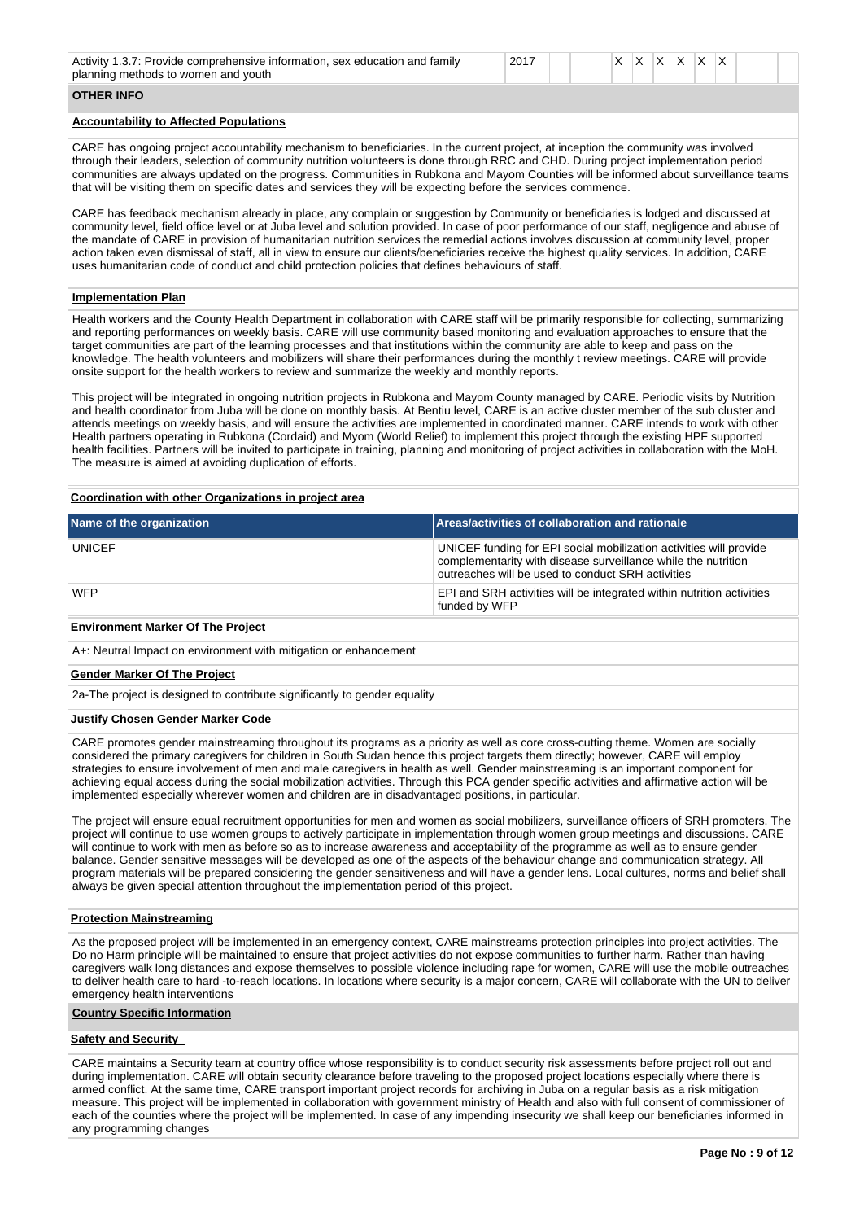| Activity 1.<br>.3.7: Provide comprehensive information, sex education and family<br>planning methods to women and youth | 2017 |  |  |  | $\checkmark$ | ◠ |  | v |  |  |  |  |  |
|-------------------------------------------------------------------------------------------------------------------------|------|--|--|--|--------------|---|--|---|--|--|--|--|--|
|-------------------------------------------------------------------------------------------------------------------------|------|--|--|--|--------------|---|--|---|--|--|--|--|--|

# **OTHER INFO**

## **Accountability to Affected Populations**

CARE has ongoing project accountability mechanism to beneficiaries. In the current project, at inception the community was involved through their leaders, selection of community nutrition volunteers is done through RRC and CHD. During project implementation period communities are always updated on the progress. Communities in Rubkona and Mayom Counties will be informed about surveillance teams that will be visiting them on specific dates and services they will be expecting before the services commence.

CARE has feedback mechanism already in place, any complain or suggestion by Community or beneficiaries is lodged and discussed at community level, field office level or at Juba level and solution provided. In case of poor performance of our staff, negligence and abuse of the mandate of CARE in provision of humanitarian nutrition services the remedial actions involves discussion at community level, proper action taken even dismissal of staff, all in view to ensure our clients/beneficiaries receive the highest quality services. In addition, CARE uses humanitarian code of conduct and child protection policies that defines behaviours of staff.

#### **Implementation Plan**

Health workers and the County Health Department in collaboration with CARE staff will be primarily responsible for collecting, summarizing and reporting performances on weekly basis. CARE will use community based monitoring and evaluation approaches to ensure that the target communities are part of the learning processes and that institutions within the community are able to keep and pass on the knowledge. The health volunteers and mobilizers will share their performances during the monthly t review meetings. CARE will provide onsite support for the health workers to review and summarize the weekly and monthly reports.

This project will be integrated in ongoing nutrition projects in Rubkona and Mayom County managed by CARE. Periodic visits by Nutrition and health coordinator from Juba will be done on monthly basis. At Bentiu level, CARE is an active cluster member of the sub cluster and attends meetings on weekly basis, and will ensure the activities are implemented in coordinated manner. CARE intends to work with other Health partners operating in Rubkona (Cordaid) and Myom (World Relief) to implement this project through the existing HPF supported health facilities. Partners will be invited to participate in training, planning and monitoring of project activities in collaboration with the MoH. The measure is aimed at avoiding duplication of efforts.

#### **Coordination with other Organizations in project area**

| Name of the organization | Areas/activities of collaboration and rationale                                                                                                                                          |
|--------------------------|------------------------------------------------------------------------------------------------------------------------------------------------------------------------------------------|
| <b>UNICEF</b>            | UNICEF funding for EPI social mobilization activities will provide<br>complementarity with disease surveillance while the nutrition<br>outreaches will be used to conduct SRH activities |
| <b>WFP</b>               | EPI and SRH activities will be integrated within nutrition activities<br>funded by WFP                                                                                                   |

#### **Environment Marker Of The Project**

A+: Neutral Impact on environment with mitigation or enhancement

#### **Gender Marker Of The Project**

2a-The project is designed to contribute significantly to gender equality

#### **Justify Chosen Gender Marker Code**

CARE promotes gender mainstreaming throughout its programs as a priority as well as core cross-cutting theme. Women are socially considered the primary caregivers for children in South Sudan hence this project targets them directly; however, CARE will employ strategies to ensure involvement of men and male caregivers in health as well. Gender mainstreaming is an important component for achieving equal access during the social mobilization activities. Through this PCA gender specific activities and affirmative action will be implemented especially wherever women and children are in disadvantaged positions, in particular.

The project will ensure equal recruitment opportunities for men and women as social mobilizers, surveillance officers of SRH promoters. The project will continue to use women groups to actively participate in implementation through women group meetings and discussions. CARE will continue to work with men as before so as to increase awareness and acceptability of the programme as well as to ensure gender balance. Gender sensitive messages will be developed as one of the aspects of the behaviour change and communication strategy. All program materials will be prepared considering the gender sensitiveness and will have a gender lens. Local cultures, norms and belief shall always be given special attention throughout the implementation period of this project.

#### **Protection Mainstreaming**

As the proposed project will be implemented in an emergency context, CARE mainstreams protection principles into project activities. The Do no Harm principle will be maintained to ensure that project activities do not expose communities to further harm. Rather than having caregivers walk long distances and expose themselves to possible violence including rape for women, CARE will use the mobile outreaches to deliver health care to hard -to-reach locations. In locations where security is a major concern, CARE will collaborate with the UN to deliver emergency health interventions

#### **Country Specific Information**

#### **Safety and Security**

CARE maintains a Security team at country office whose responsibility is to conduct security risk assessments before project roll out and during implementation. CARE will obtain security clearance before traveling to the proposed project locations especially where there is armed conflict. At the same time, CARE transport important project records for archiving in Juba on a regular basis as a risk mitigation measure. This project will be implemented in collaboration with government ministry of Health and also with full consent of commissioner of each of the counties where the project will be implemented. In case of any impending insecurity we shall keep our beneficiaries informed in any programming changes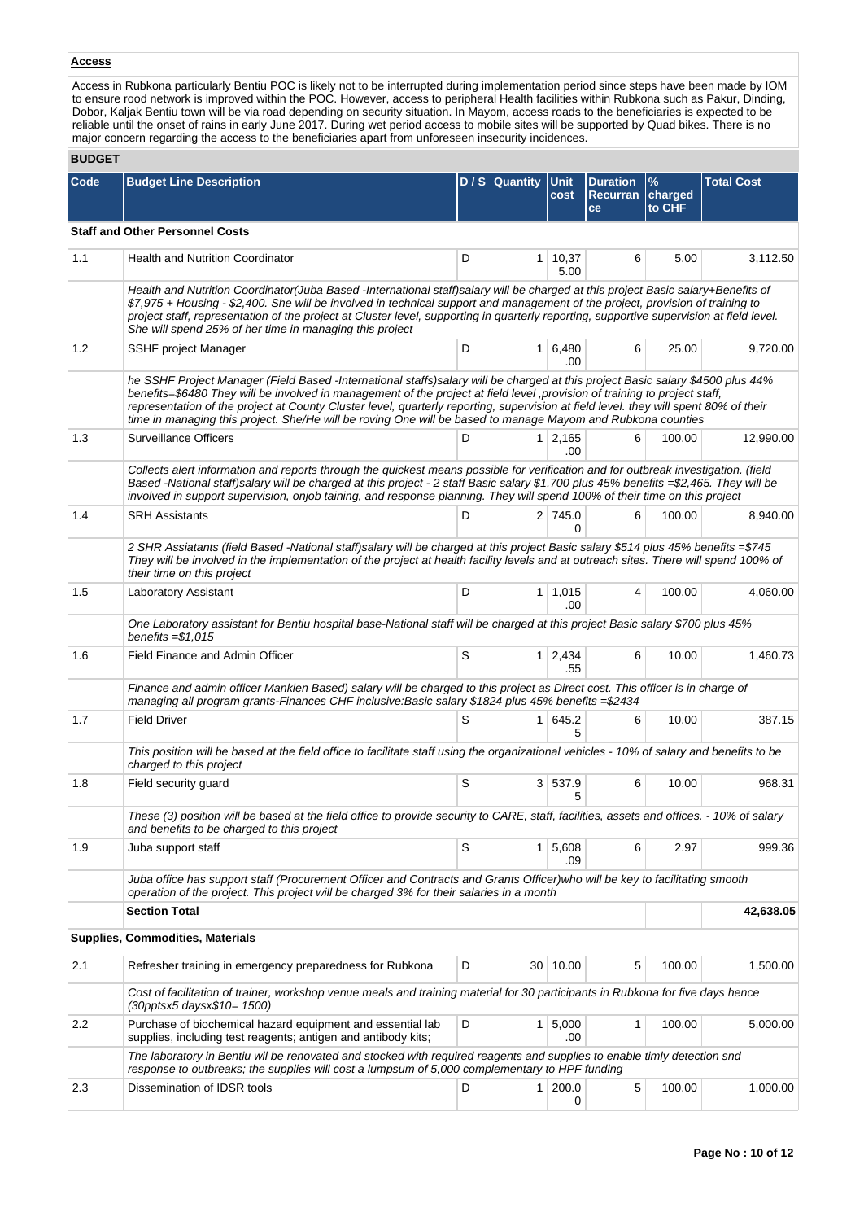# **Access**

Access in Rubkona particularly Bentiu POC is likely not to be interrupted during implementation period since steps have been made by IOM to ensure rood network is improved within the POC. However, access to peripheral Health facilities within Rubkona such as Pakur, Dinding, Dobor, Kaljak Bentiu town will be via road depending on security situation. In Mayom, access roads to the beneficiaries is expected to be reliable until the onset of rains in early June 2017. During wet period access to mobile sites will be supported by Quad bikes. There is no major concern regarding the access to the beneficiaries apart from unforeseen insecurity incidences.

### **BUDGET**

| Code | <b>Budget Line Description</b>                                                                                                                                                                                                                                                                                                                                                                                                                                                                                       |   | $D / S$ Quantity | <b>Unit</b><br>cost         | <b>Duration</b><br>Recurran<br>ce | $\frac{9}{6}$<br>charged<br>to CHF | <b>Total Cost</b> |
|------|----------------------------------------------------------------------------------------------------------------------------------------------------------------------------------------------------------------------------------------------------------------------------------------------------------------------------------------------------------------------------------------------------------------------------------------------------------------------------------------------------------------------|---|------------------|-----------------------------|-----------------------------------|------------------------------------|-------------------|
|      | <b>Staff and Other Personnel Costs</b>                                                                                                                                                                                                                                                                                                                                                                                                                                                                               |   |                  |                             |                                   |                                    |                   |
| 1.1  | <b>Health and Nutrition Coordinator</b>                                                                                                                                                                                                                                                                                                                                                                                                                                                                              | D | 1 <sup>1</sup>   | 10,37<br>5.00               | 6                                 | 5.00                               | 3,112.50          |
|      | Health and Nutrition Coordinator(Juba Based -International staff)salary will be charged at this project Basic salary+Benefits of<br>\$7,975 + Housing - \$2,400. She will be involved in technical support and management of the project, provision of training to<br>project staff, representation of the project at Cluster level, supporting in quarterly reporting, supportive supervision at field level.<br>She will spend 25% of her time in managing this project                                            |   |                  |                             |                                   |                                    |                   |
| 1.2  | SSHF project Manager                                                                                                                                                                                                                                                                                                                                                                                                                                                                                                 | D |                  | $1 \vert 6,480$<br>.00      | 6                                 | 25.00                              | 9,720.00          |
|      | he SSHF Project Manager (Field Based -International staffs)salary will be charged at this project Basic salary \$4500 plus 44%<br>benefits=\$6480 They will be involved in management of the project at field level , provision of training to project staff,<br>representation of the project at County Cluster level, quarterly reporting, supervision at field level. they will spent 80% of their<br>time in managing this project. She/He will be roving One will be based to manage Mayom and Rubkona counties |   |                  |                             |                                   |                                    |                   |
| 1.3  | <b>Surveillance Officers</b>                                                                                                                                                                                                                                                                                                                                                                                                                                                                                         | D |                  | $1 \mid 2,165$<br>.00       | 6                                 | 100.00                             | 12,990.00         |
|      | Collects alert information and reports through the quickest means possible for verification and for outbreak investigation. (field<br>Based -National staff)salary will be charged at this project - 2 staff Basic salary \$1,700 plus 45% benefits =\$2,465. They will be<br>involved in support supervision, onjob taining, and response planning. They will spend 100% of their time on this project                                                                                                              |   |                  |                             |                                   |                                    |                   |
| 1.4  | <b>SRH Assistants</b>                                                                                                                                                                                                                                                                                                                                                                                                                                                                                                | D |                  | 2 745.0<br><sup>0</sup>     | 6                                 | 100.00                             | 8,940.00          |
|      | 2 SHR Assiatants (field Based -National staff)salary will be charged at this project Basic salary \$514 plus 45% benefits =\$745<br>They will be involved in the implementation of the project at health facility levels and at outreach sites. There will spend 100% of<br>their time on this project                                                                                                                                                                                                               |   |                  |                             |                                   |                                    |                   |
| 1.5  | Laboratory Assistant                                                                                                                                                                                                                                                                                                                                                                                                                                                                                                 | D |                  | $1 \mid 1,015$<br>.00       | 4                                 | 100.00                             | 4,060.00          |
|      | One Laboratory assistant for Bentiu hospital base-National staff will be charged at this project Basic salary \$700 plus 45%<br>benefits $= $1.015$                                                                                                                                                                                                                                                                                                                                                                  |   |                  |                             |                                   |                                    |                   |
| 1.6  | Field Finance and Admin Officer                                                                                                                                                                                                                                                                                                                                                                                                                                                                                      | S |                  | $1 \quad 2,434$<br>.55      | 6                                 | 10.00                              | 1,460.73          |
|      | Finance and admin officer Mankien Based) salary will be charged to this project as Direct cost. This officer is in charge of<br>managing all program grants-Finances CHF inclusive: Basic salary \$1824 plus 45% benefits = \$2434                                                                                                                                                                                                                                                                                   |   |                  |                             |                                   |                                    |                   |
| 1.7  | <b>Field Driver</b>                                                                                                                                                                                                                                                                                                                                                                                                                                                                                                  | S |                  | 1 645.2<br>5                | 6                                 | 10.00                              | 387.15            |
|      | This position will be based at the field office to facilitate staff using the organizational vehicles - 10% of salary and benefits to be<br>charged to this project                                                                                                                                                                                                                                                                                                                                                  |   |                  |                             |                                   |                                    |                   |
| 1.8  | Field security guard                                                                                                                                                                                                                                                                                                                                                                                                                                                                                                 | S |                  | 3   537.9<br>5              | 6                                 | 10.00                              | 968.31            |
|      | These (3) position will be based at the field office to provide security to CARE, staff, facilities, assets and offices. - 10% of salary<br>and benefits to be charged to this project                                                                                                                                                                                                                                                                                                                               |   |                  |                             |                                   |                                    |                   |
| 1.9  | Juba support staff                                                                                                                                                                                                                                                                                                                                                                                                                                                                                                   | S |                  | $1 \overline{5,608}$<br>.09 | 6                                 | 2.97                               | 999.36            |
|      | Juba office has support staff (Procurement Officer and Contracts and Grants Officer)who will be key to facilitating smooth<br>operation of the project. This project will be charged 3% for their salaries in a month                                                                                                                                                                                                                                                                                                |   |                  |                             |                                   |                                    |                   |
|      | <b>Section Total</b>                                                                                                                                                                                                                                                                                                                                                                                                                                                                                                 |   |                  |                             |                                   |                                    | 42,638.05         |
|      | <b>Supplies, Commodities, Materials</b>                                                                                                                                                                                                                                                                                                                                                                                                                                                                              |   |                  |                             |                                   |                                    |                   |
| 2.1  | Refresher training in emergency preparedness for Rubkona                                                                                                                                                                                                                                                                                                                                                                                                                                                             | D |                  | 30 10.00                    | 5                                 | 100.00                             | 1,500.00          |
|      | Cost of facilitation of trainer, workshop venue meals and training material for 30 participants in Rubkona for five days hence<br>(30pptsx5 daysx\$10= 1500)                                                                                                                                                                                                                                                                                                                                                         |   |                  |                             |                                   |                                    |                   |
| 2.2  | Purchase of biochemical hazard equipment and essential lab<br>supplies, including test reagents; antigen and antibody kits;                                                                                                                                                                                                                                                                                                                                                                                          | D |                  | $1 \mid 5,000$<br>.00       | 1                                 | 100.00                             | 5,000.00          |
|      | The laboratory in Bentiu wil be renovated and stocked with required reagents and supplies to enable timly detection snd<br>response to outbreaks; the supplies will cost a lumpsum of 5,000 complementary to HPF funding                                                                                                                                                                                                                                                                                             |   |                  |                             |                                   |                                    |                   |
| 2.3  | Dissemination of IDSR tools                                                                                                                                                                                                                                                                                                                                                                                                                                                                                          | D |                  | $1 \, 200.0$<br>0           | 5                                 | 100.00                             | 1,000.00          |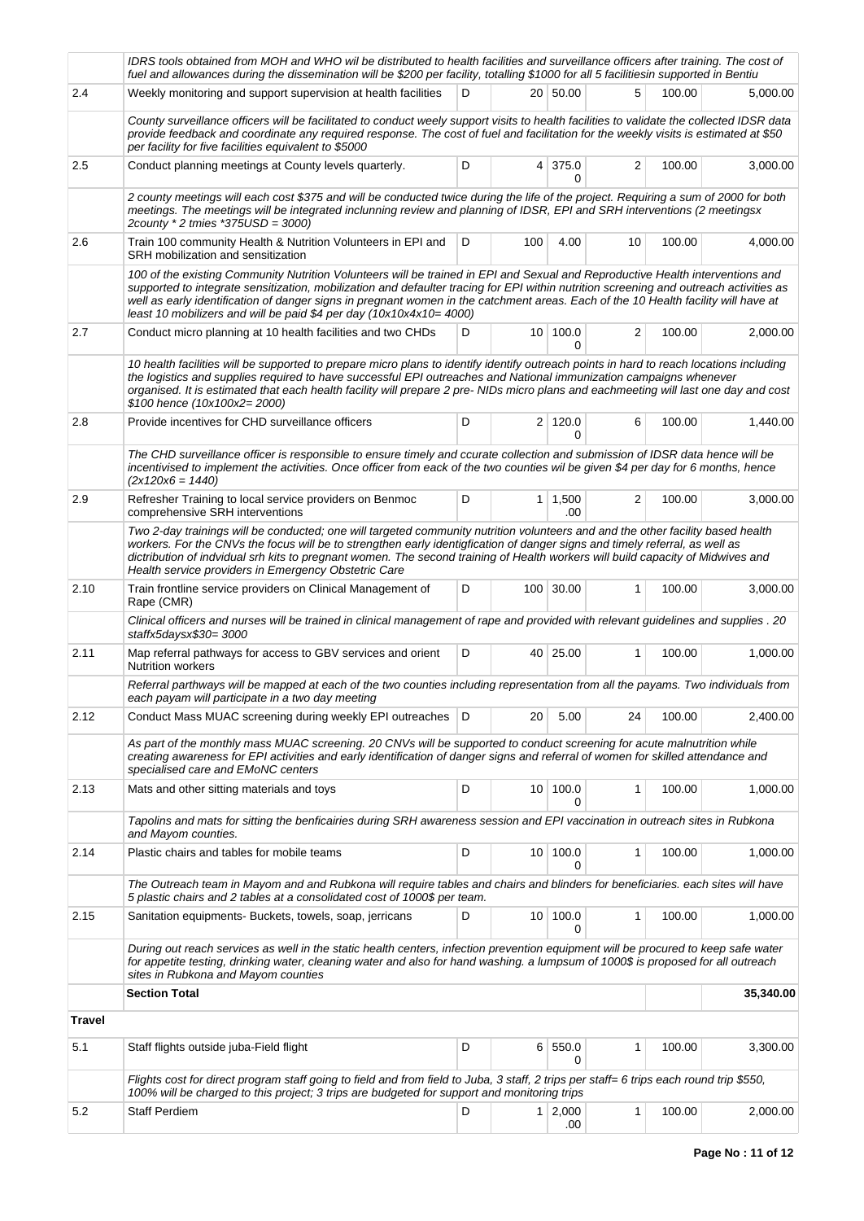|        | IDRS tools obtained from MOH and WHO wil be distributed to health facilities and surveillance officers after training. The cost of<br>fuel and allowances during the dissemination will be \$200 per facility, totalling \$1000 for all 5 facilitiesin supported in Bentiu                                                                                                                                                                                                            |   |                |                          |                |        |           |  |  |  |
|--------|---------------------------------------------------------------------------------------------------------------------------------------------------------------------------------------------------------------------------------------------------------------------------------------------------------------------------------------------------------------------------------------------------------------------------------------------------------------------------------------|---|----------------|--------------------------|----------------|--------|-----------|--|--|--|
| 2.4    | Weekly monitoring and support supervision at health facilities                                                                                                                                                                                                                                                                                                                                                                                                                        | D |                | 20 50.00                 | 5              | 100.00 | 5,000.00  |  |  |  |
|        | County surveillance officers will be facilitated to conduct weely support visits to health facilities to validate the collected IDSR data<br>provide feedback and coordinate any required response. The cost of fuel and facilitation for the weekly visits is estimated at \$50<br>per facility for five facilities equivalent to \$5000                                                                                                                                             |   |                |                          |                |        |           |  |  |  |
| 2.5    | Conduct planning meetings at County levels quarterly.                                                                                                                                                                                                                                                                                                                                                                                                                                 | D |                | 4 375.0<br>0             | $\overline{2}$ | 100.00 | 3,000.00  |  |  |  |
|        | 2 county meetings will each cost \$375 and will be conducted twice during the life of the project. Requiring a sum of 2000 for both<br>meetings. The meetings will be integrated inclunning review and planning of IDSR, EPI and SRH interventions (2 meetingsx<br>2county * 2 tmies *375USD = 3000)                                                                                                                                                                                  |   |                |                          |                |        |           |  |  |  |
| 2.6    | Train 100 community Health & Nutrition Volunteers in EPI and<br>SRH mobilization and sensitization                                                                                                                                                                                                                                                                                                                                                                                    | D | 100            | 4.00                     | 10             | 100.00 | 4,000.00  |  |  |  |
|        | 100 of the existing Community Nutrition Volunteers will be trained in EPI and Sexual and Reproductive Health interventions and<br>supported to integrate sensitization, mobilization and defaulter tracing for EPI within nutrition screening and outreach activities as<br>well as early identification of danger signs in pregnant women in the catchment areas. Each of the 10 Health facility will have at<br>least 10 mobilizers and will be paid \$4 per day (10x10x4x10= 4000) |   |                |                          |                |        |           |  |  |  |
| 2.7    | Conduct micro planning at 10 health facilities and two CHDs                                                                                                                                                                                                                                                                                                                                                                                                                           | D |                | 10 100.0<br><sup>0</sup> | 2              | 100.00 | 2,000.00  |  |  |  |
|        | 10 health facilities will be supported to prepare micro plans to identify identify outreach points in hard to reach locations including<br>the logistics and supplies required to have successful EPI outreaches and National immunization campaigns whenever<br>organised. It is estimated that each health facility will prepare 2 pre- NIDs micro plans and eachmeeting will last one day and cost<br>\$100 hence (10x100x2=2000)                                                  |   |                |                          |                |        |           |  |  |  |
| 2.8    | Provide incentives for CHD surveillance officers                                                                                                                                                                                                                                                                                                                                                                                                                                      | D |                | 2 120.0<br>0             | 6              | 100.00 | 1,440.00  |  |  |  |
|        | The CHD surveillance officer is responsible to ensure timely and ccurate collection and submission of IDSR data hence will be<br>incentivised to implement the activities. Once officer from eack of the two counties wil be given \$4 per day for 6 months, hence<br>$(2x120x6 = 1440)$                                                                                                                                                                                              |   |                |                          |                |        |           |  |  |  |
| 2.9    | Refresher Training to local service providers on Benmoc<br>comprehensive SRH interventions                                                                                                                                                                                                                                                                                                                                                                                            | D |                | $1 \mid 1,500$<br>.00    | 2              | 100.00 | 3,000.00  |  |  |  |
|        | Two 2-day trainings will be conducted; one will targeted community nutrition volunteers and and the other facility based health<br>workers. For the CNVs the focus will be to strengthen early identigfication of danger signs and timely referral, as well as<br>dictribution of indvidual srh kits to pregnant women. The second training of Health workers will build capacity of Midwives and<br>Health service providers in Emergency Obstetric Care                             |   |                |                          |                |        |           |  |  |  |
| 2.10   | Train frontline service providers on Clinical Management of<br>Rape (CMR)                                                                                                                                                                                                                                                                                                                                                                                                             | D |                | 100 30.00                | $\mathbf{1}$   | 100.00 | 3,000.00  |  |  |  |
|        | Clinical officers and nurses will be trained in clinical management of rape and provided with relevant guidelines and supplies . 20<br>staffx5daysx\$30= 3000                                                                                                                                                                                                                                                                                                                         |   |                |                          |                |        |           |  |  |  |
| 2.11   | Map referral pathways for access to GBV services and orient<br><b>Nutrition workers</b>                                                                                                                                                                                                                                                                                                                                                                                               | D |                | 40 25.00                 | $\mathbf{1}$   | 100.00 | 1,000.00  |  |  |  |
|        | Referral parthways will be mapped at each of the two counties including representation from all the payams. Two individuals from<br>each payam will participate in a two day meeting                                                                                                                                                                                                                                                                                                  |   |                |                          |                |        |           |  |  |  |
| 2.12   | Conduct Mass MUAC screening during weekly EPI outreaches   D                                                                                                                                                                                                                                                                                                                                                                                                                          |   | 20             | 5.00                     | 24             | 100.00 | 2,400.00  |  |  |  |
|        | As part of the monthly mass MUAC screening. 20 CNVs will be supported to conduct screening for acute malnutrition while<br>creating awareness for EPI activities and early identification of danger signs and referral of women for skilled attendance and<br>specialised care and EMoNC centers                                                                                                                                                                                      |   |                |                          |                |        |           |  |  |  |
| 2.13   | Mats and other sitting materials and toys                                                                                                                                                                                                                                                                                                                                                                                                                                             | D |                | 10 100.0<br>0            | 1              | 100.00 | 1,000.00  |  |  |  |
|        | Tapolins and mats for sitting the benficairies during SRH awareness session and EPI vaccination in outreach sites in Rubkona<br>and Mayom counties.                                                                                                                                                                                                                                                                                                                                   |   |                |                          |                |        |           |  |  |  |
| 2.14   | Plastic chairs and tables for mobile teams                                                                                                                                                                                                                                                                                                                                                                                                                                            | D |                | 10 100.0<br>0            | 1              | 100.00 | 1,000.00  |  |  |  |
|        | The Outreach team in Mayom and and Rubkona will require tables and chairs and blinders for beneficiaries. each sites will have<br>5 plastic chairs and 2 tables at a consolidated cost of 1000\$ per team.                                                                                                                                                                                                                                                                            |   |                |                          |                |        |           |  |  |  |
| 2.15   | Sanitation equipments- Buckets, towels, soap, jerricans                                                                                                                                                                                                                                                                                                                                                                                                                               | D |                | 10 100.0<br>0            | 1              | 100.00 | 1,000.00  |  |  |  |
|        | During out reach services as well in the static health centers, infection prevention equipment will be procured to keep safe water<br>for appetite testing, drinking water, cleaning water and also for hand washing. a lumpsum of 1000\$ is proposed for all outreach<br>sites in Rubkona and Mayom counties                                                                                                                                                                         |   |                |                          |                |        |           |  |  |  |
|        | <b>Section Total</b>                                                                                                                                                                                                                                                                                                                                                                                                                                                                  |   |                |                          |                |        | 35,340.00 |  |  |  |
| Travel |                                                                                                                                                                                                                                                                                                                                                                                                                                                                                       |   |                |                          |                |        |           |  |  |  |
| 5.1    | Staff flights outside juba-Field flight                                                                                                                                                                                                                                                                                                                                                                                                                                               | D |                | 6 550.0<br>0             | 1              | 100.00 | 3,300.00  |  |  |  |
|        | Flights cost for direct program staff going to field and from field to Juba, 3 staff, 2 trips per staff= 6 trips each round trip \$550,<br>100% will be charged to this project; 3 trips are budgeted for support and monitoring trips                                                                                                                                                                                                                                                |   |                |                          |                |        |           |  |  |  |
| 5.2    | <b>Staff Perdiem</b>                                                                                                                                                                                                                                                                                                                                                                                                                                                                  | D | 1 <sup>1</sup> | 2,000<br>.00             | 1              | 100.00 | 2,000.00  |  |  |  |